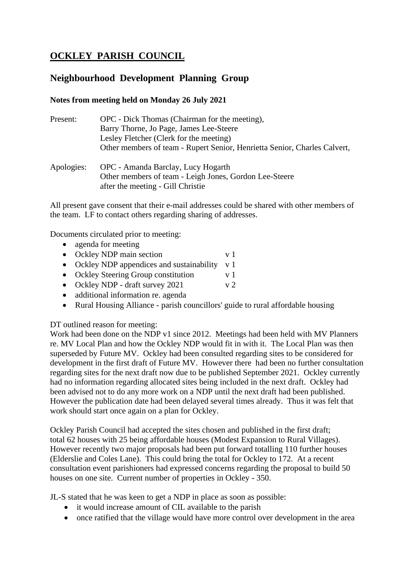# **OCKLEY PARISH COUNCIL**

## **Neighbourhood Development Planning Group**

### **Notes from meeting held on Monday 26 July 2021**

| Present:   | OPC - Dick Thomas (Chairman for the meeting),                             |
|------------|---------------------------------------------------------------------------|
|            | Barry Thorne, Jo Page, James Lee-Steere                                   |
|            | Lesley Fletcher (Clerk for the meeting)                                   |
|            | Other members of team - Rupert Senior, Henrietta Senior, Charles Calvert, |
| Apologies: | OPC - Amanda Barclay, Lucy Hogarth                                        |
|            | Other members of team - Leigh Jones, Gordon Lee-Steere                    |
|            | after the meeting - Gill Christie                                         |

All present gave consent that their e-mail addresses could be shared with other members of the team. LF to contact others regarding sharing of addresses.

Documents circulated prior to meeting:

- agenda for meeting
- Ockley NDP main section v 1
- Ockley NDP appendices and sustainability v 1
- Ockley Steering Group constitution v 1
- Ockley NDP draft survey  $2021$  v 2
- additional information re. agenda
- Rural Housing Alliance parish councillors' guide to rural affordable housing

#### DT outlined reason for meeting:

Work had been done on the NDP v1 since 2012. Meetings had been held with MV Planners re. MV Local Plan and how the Ockley NDP would fit in with it. The Local Plan was then superseded by Future MV. Ockley had been consulted regarding sites to be considered for development in the first draft of Future MV. However there had been no further consultation regarding sites for the next draft now due to be published September 2021. Ockley currently had no information regarding allocated sites being included in the next draft. Ockley had been advised not to do any more work on a NDP until the next draft had been published. However the publication date had been delayed several times already. Thus it was felt that work should start once again on a plan for Ockley.

Ockley Parish Council had accepted the sites chosen and published in the first draft; total 62 houses with 25 being affordable houses (Modest Expansion to Rural Villages). However recently two major proposals had been put forward totalling 110 further houses (Elderslie and Coles Lane). This could bring the total for Ockley to 172. At a recent consultation event parishioners had expressed concerns regarding the proposal to build 50 houses on one site. Current number of properties in Ockley - 350.

JL-S stated that he was keen to get a NDP in place as soon as possible:

- it would increase amount of CIL available to the parish
- once ratified that the village would have more control over development in the area